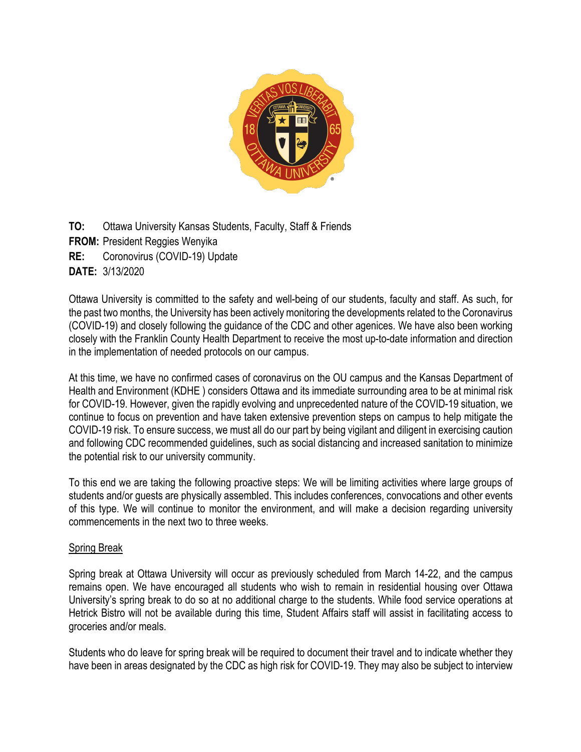

**TO:** Ottawa University Kansas Students, Faculty, Staff & Friends

- **FROM:** President Reggies Wenyika
- **RE:** Coronovirus (COVID-19) Update

**DATE:** 3/13/2020

Ottawa University is committed to the safety and well-being of our students, faculty and staff. As such, for the past two months, the University has been actively monitoring the developments related to the Coronavirus (COVID-19) and closely following the guidance of the CDC and other agenices. We have also been working closely with the Franklin County Health Department to receive the most up-to-date information and direction in the implementation of needed protocols on our campus.

At this time, we have no confirmed cases of coronavirus on the OU campus and the Kansas Department of Health and Environment (KDHE ) considers Ottawa and its immediate surrounding area to be at minimal risk for COVID-19. However, given the rapidly evolving and unprecedented nature of the COVID-19 situation, we continue to focus on prevention and have taken extensive prevention steps on campus to help mitigate the COVID-19 risk. To ensure success, we must all do our part by being vigilant and diligent in exercising caution and following CDC recommended guidelines, such as social distancing and increased sanitation to minimize the potential risk to our university community.

To this end we are taking the following proactive steps: We will be limiting activities where large groups of students and/or guests are physically assembled. This includes conferences, convocations and other events of this type. We will continue to monitor the environment, and will make a decision regarding university commencements in the next two to three weeks.

# Spring Break

Spring break at Ottawa University will occur as previously scheduled from March 14-22, and the campus remains open. We have encouraged all students who wish to remain in residential housing over Ottawa University's spring break to do so at no additional charge to the students. While food service operations at Hetrick Bistro will not be available during this time, Student Affairs staff will assist in facilitating access to groceries and/or meals.

Students who do leave for spring break will be required to document their travel and to indicate whether they have been in areas designated by the CDC as high risk for COVID-19. They may also be subject to interview